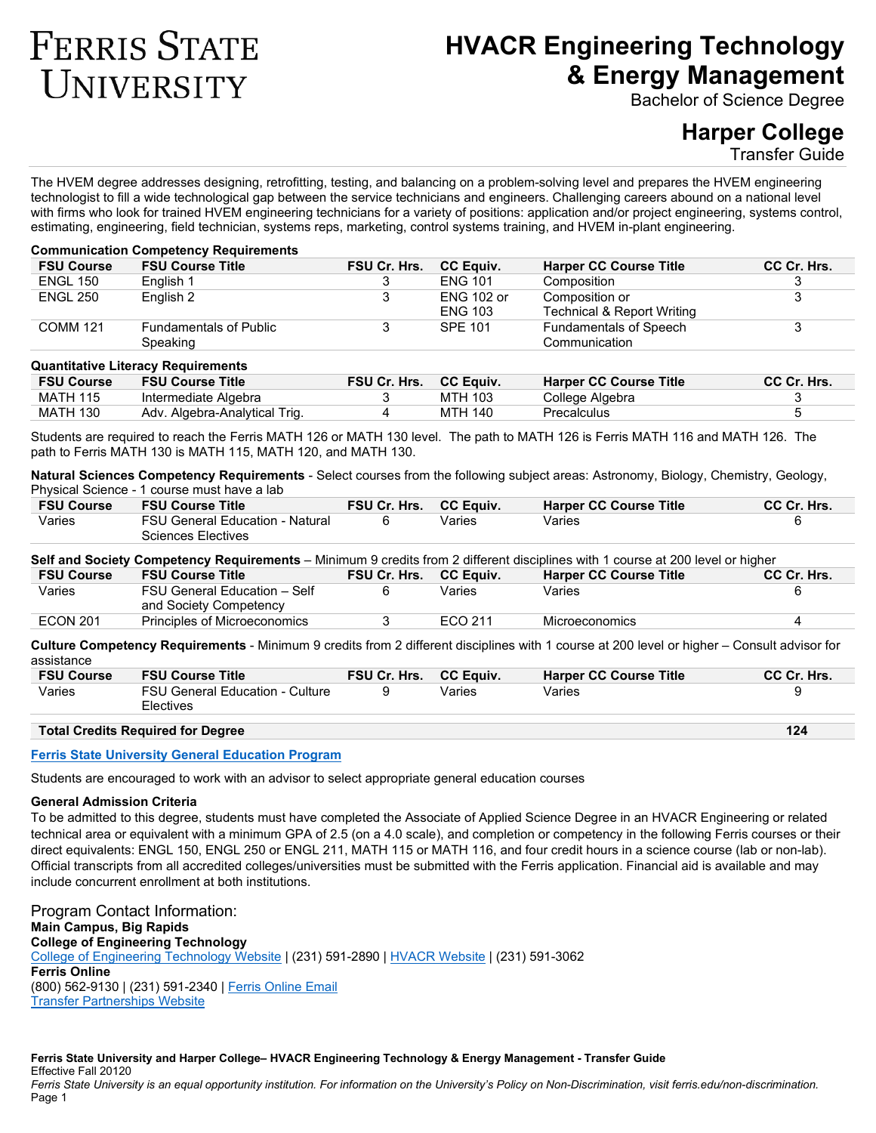# **FERRIS STATE** UNIVERSITY

# **HVACR Engineering Technology & Energy Management**

Bachelor of Science Degree

# **Harper College**

Transfer Guide

The HVEM degree addresses designing, retrofitting, testing, and balancing on a problem-solving level and prepares the HVEM engineering technologist to fill a wide technological gap between the service technicians and engineers. Challenging careers abound on a national level with firms who look for trained HVEM engineering technicians for a variety of positions: application and/or project engineering, systems control, estimating, engineering, field technician, systems reps, marketing, control systems training, and HVEM in-plant engineering.

#### **Communication Competency Requirements**

| <b>FSU Course</b> | <b>FSU Course Title</b>       | <b>FSU Cr. Hrs.</b> | <b>CC Equiv.</b>  | <b>Harper CC Course Title</b> | CC Cr. Hrs. |
|-------------------|-------------------------------|---------------------|-------------------|-------------------------------|-------------|
| <b>ENGL 150</b>   | English 1                     |                     | <b>FNG 101</b>    | Composition                   |             |
| <b>ENGL 250</b>   | English 2                     |                     | <b>ENG 102 or</b> | Composition or                |             |
|                   |                               |                     | <b>ENG 103</b>    | Technical & Report Writing    |             |
| <b>COMM 121</b>   | <b>Fundamentals of Public</b> |                     | <b>SPE 101</b>    | <b>Fundamentals of Speech</b> |             |
|                   | Speaking                      |                     |                   | Communication                 |             |

#### **Quantitative Literacy Requirements**

| <b>FSU Course</b> | <b>FSU Course Title</b>       | <b>FSU Cr. Hrs.</b> | <b>CC Equiv.</b> | <b>Harper CC Course Title</b> | <b>CC Cr. Hrs.</b> |
|-------------------|-------------------------------|---------------------|------------------|-------------------------------|--------------------|
| <b>MATH 115</b>   | Intermediate Algebra          |                     | <b>MTH 103</b>   | College Algebra               |                    |
| <b>MATH 130</b>   | Adv. Algebra-Analytical Trig. |                     | MTH 140          | Precalculus                   |                    |

Students are required to reach the Ferris MATH 126 or MATH 130 level. The path to MATH 126 is Ferris MATH 116 and MATH 126. The path to Ferris MATH 130 is MATH 115, MATH 120, and MATH 130.

**Natural Sciences Competency Requirements** - Select courses from the following subject areas: Astronomy, Biology, Chemistry, Geology, Physical Science - 1 course must have a lab

| <b>FSU Course</b> | <b>FSU Course Title</b>                                      | <b>FSU Cr. Hrs.</b> | <b>CC Equiv.</b> | <b>Harper CC Course Title</b> | CC Cr. Hrs. |
|-------------------|--------------------------------------------------------------|---------------------|------------------|-------------------------------|-------------|
| Varies            | FSU General Education - Natural<br><b>Sciences Electives</b> |                     | Varies           | Varies                        |             |

**Self and Society Competency Requirements** – Minimum 9 credits from 2 different disciplines with 1 course at 200 level or higher

| <b>FSU Course</b> | <b>FSU Course Title</b>      | <b>FSU Cr. Hrs.</b> | <b>CC Equiv.</b> | <b>Harper CC Course Title</b> | CC Cr. Hrs. |
|-------------------|------------------------------|---------------------|------------------|-------------------------------|-------------|
| Varies            | FSU General Education - Self | 6                   | Varies           | Varies                        |             |
|                   | and Society Competency       |                     |                  |                               |             |
| <b>ECON 201</b>   | Principles of Microeconomics |                     | FCO 211          | Microeconomics                |             |
|                   |                              |                     |                  |                               |             |

**Culture Competency Requirements** - Minimum 9 credits from 2 different disciplines with 1 course at 200 level or higher – Consult advisor for assistance

| Varies<br><b>FSU General Education - Culture</b><br>Varies<br>Varies<br>Electives | <b>FSU Course</b> | <b>FSU Course Title</b> | <b>FSU Cr. Hrs.</b> | <b>CC Equiv.</b> | <b>Harper CC Course Title</b> | CC Cr. Hrs. |
|-----------------------------------------------------------------------------------|-------------------|-------------------------|---------------------|------------------|-------------------------------|-------------|
|                                                                                   |                   |                         |                     |                  |                               |             |

## **Total Credits Required for Degree 124**

#### **[Ferris State University General Education Program](https://www.ferris.edu/HTMLS/academics/general-education/index.htm)**

Students are encouraged to work with an advisor to select appropriate general education courses

# **General Admission Criteria**

To be admitted to this degree, students must have completed the Associate of Applied Science Degree in an HVACR Engineering or related technical area or equivalent with a minimum GPA of 2.5 (on a 4.0 scale), and completion or competency in the following Ferris courses or their direct equivalents: ENGL 150, ENGL 250 or ENGL 211, MATH 115 or MATH 116, and four credit hours in a science course (lab or non-lab). Official transcripts from all accredited colleges/universities must be submitted with the Ferris application. Financial aid is available and may include concurrent enrollment at both institutions.

Program Contact Information: **Main Campus, Big Rapids College of Engineering Technology** [College of Engineering Technology Website](https://www.ferris.edu/HTMLS/colleges/technolo/homepage.htm) | (231) 591-2890 | [HVACR Website](file://ferris.local/RSS/TRANSCNTR/Department/Transfer%20Guides%20&%20Articulation%20Agreements%2010.2018/TG-AA%20Forms%20and%20Templates/ADA%20Templates/Up%20to%20date%20templates/CET/www.ferris.edu/hvacr) | (231) 591-3062 **Ferris Online** (800) 562-9130 | (231) 591-2340 [| Ferris Online Email](file://ferris.local/RSS/TRANSCNTR/Department/Transfer%20Guides%20&%20Articulation%20Agreements%2012-5-16/TG-AA%20Forms%20and%20Templates/ADA%20Templates/Up%20to%20date%20templates/ferrisonline@ferris.edu) [Transfer Partnerships Website](file://ferris.local/RSS/TRANSCNTR/Department/Transfer%20Guides%20&%20Articulation%20Agreements%2012-5-16/TG-AA%20Forms%20and%20Templates/ADA%20Templates/Up%20to%20date%20templates/www.ferris.edu/transfer)

#### **Ferris State University and Harper College– HVACR Engineering Technology & Energy Management - Transfer Guide** Effective Fall 20120

*Ferris State University is an equal opportunity institution. For information on the University's Policy on Non-Discrimination, visit ferris.edu/non-discrimination.* Page 1